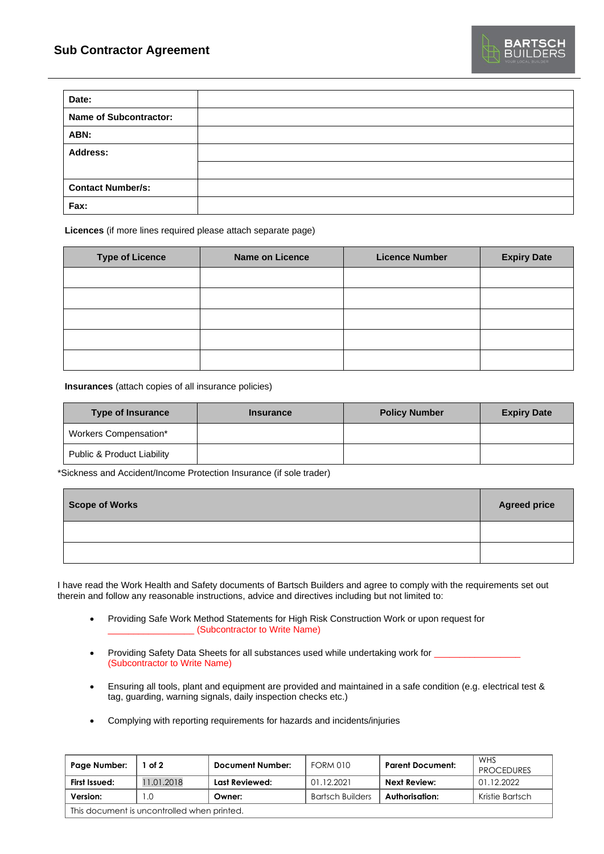| Date:                         |  |
|-------------------------------|--|
| <b>Name of Subcontractor:</b> |  |
| ABN:                          |  |
| <b>Address:</b>               |  |
|                               |  |
| <b>Contact Number/s:</b>      |  |
| Fax:                          |  |

**Licences** (if more lines required please attach separate page)

| <b>Type of Licence</b> | <b>Name on Licence</b> | <b>Licence Number</b> | <b>Expiry Date</b> |
|------------------------|------------------------|-----------------------|--------------------|
|                        |                        |                       |                    |
|                        |                        |                       |                    |
|                        |                        |                       |                    |
|                        |                        |                       |                    |
|                        |                        |                       |                    |

**Insurances** (attach copies of all insurance policies)

| <b>Type of Insurance</b>   | <b>Insurance</b> | <b>Policy Number</b> | <b>Expiry Date</b> |
|----------------------------|------------------|----------------------|--------------------|
| Workers Compensation*      |                  |                      |                    |
| Public & Product Liability |                  |                      |                    |

\*Sickness and Accident/Income Protection Insurance (if sole trader)

| Scope of Works | <b>Agreed price</b> |
|----------------|---------------------|
|                |                     |
|                |                     |

I have read the Work Health and Safety documents of Bartsch Builders and agree to comply with the requirements set out therein and follow any reasonable instructions, advice and directives including but not limited to:

- Providing Safe Work Method Statements for High Risk Construction Work or upon request for \_\_\_\_\_\_\_\_\_\_\_\_\_\_\_\_\_ (Subcontractor to Write Name)
- Providing Safety Data Sheets for all substances used while undertaking work for \_\_\_\_\_\_\_\_\_\_\_\_\_\_\_\_\_ (Subcontractor to Write Name)
- Ensuring all tools, plant and equipment are provided and maintained in a safe condition (e.g. electrical test & tag, guarding, warning signals, daily inspection checks etc.)
- Complying with reporting requirements for hazards and incidents/injuries

| Page Number:                                | of 2       | <b>Document Number:</b> | FORM 010                | <b>Parent Document:</b> | WHS<br><b>PROCEDURES</b> |
|---------------------------------------------|------------|-------------------------|-------------------------|-------------------------|--------------------------|
| First Issued:                               | 11.01.2018 | Last Reviewed:          | 01.12.2021              | Next Review:            | 01.12.2022               |
| Version:                                    | .0         | Owner:                  | <b>Bartsch Builders</b> | Authorisation:          | Kristie Bartsch          |
| This document is uncontrolled when printed. |            |                         |                         |                         |                          |